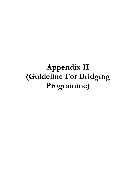# Appendix II (Guideline For Bridging Programme)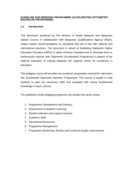#### **GUIDELINE FOR BRIDGING PROGRAMME (ACCELERATED OPTOMETRY BACHELOR PROGRAMME)**

# **1.1 Introduction**

This document, produced by The Ministry of Health Malaysia and Malaysian Optical Council in collaboration with Malaysian Qualifications Agency (MQA), makes explicit recommendations on standards that are in line with national and international practices. The document is aimed at facilitating Malaysian Higher Education Providers (HEPs) to attain minimum standard and to stimulate them to continuously improve their Optometry (Accelerated) Programme in support of the national aspiration of making Malaysia the regional centre for excellence in education.

This bridging course will provides the academic preparation required for admission into Accelerated Optometry Bachelor Programme. The course is taught to help students to gain the necessary skills and equipped with strong fundamental knowledge in basic science.

The guidelines of this bridging programme are divided into seven areas:

- 1. Programme Development and Delivery;
- 2. Assessment of students Learning;
- 3. Student selection and support services;
- 4. Academic Staff;
- 5. Educational Resources;
- 6. Programme Management;
- 7. Programme Monitoring, Review and Continual Quality Improvement.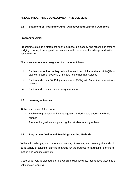# **AREA 1: PROGRAMME DEVELOPMENT AND DELIVERY**

# **1.1 Statement of Programme Aims, Objectives and Learning Outcomes**

#### **Programme Aims:**

Programme aim/s is a statement on the purpose, philosophy and rationale in offering bridging course, to equipped the students with necessary knowledge and skills in basic science.

This is to cater for three categories of students as follows :

- i. Students who has tertiary education such as diploma (Level 4 MQF) or bachelor degree (level 6 MQF) in any field other than Science
- ii. Students who has Sijil Pelajaran Malaysia (SPM) with 3 credits in any science subjects.
- iii. Students who has no academic qualification

#### **1.2 Learning outcomes**

At the completion of the course:

- a. Enable the graduates to have adequate knowledge and understand basic science
- b. Prepare the graduates in pursuing their studies to a higher level

# **1.3 Programme Design and Teaching-Learning Methods**

While acknowledging that there is no one way of teaching and learning, there should be a variety of teaching-learning methods for the purpose of facilitating learning for mature and working students.

Mode of delivery is blended learning which include lectures, face to face tutorial and self directed learning.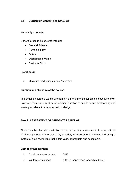# **1.4 Curriculum Content and Structure**

#### **Knowledge domain**

General areas to be covered include:

- General Sciences
- Human biology
- Optics
- Occupational Vision
- Business Ethics

#### **Credit hours**

i. Minimum graduating credits: 15 credits

#### **Duration and structure of the course**

The bridging course is taught over a minimum of 6 months full time in executive style. However, the course must be of sufficient duration to enable sequential learning and mastery of relevant basic science knowledge.

#### **Area 2: ASSESSMENT OF STUDENTS LEARNING**

There must be clear demonstration of the satisfactory achievement of the objectives of all components of the course by a variety of assessment methods and using a system of grading/marking that is fair, valid, appropriate and acceptable.

#### **Method of assessment**

- i. Continuous assessment : 70%
- ii. Written examination : 30% (1 paper each for each subject)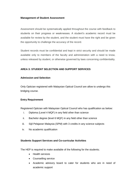#### **Management of Student Assessment**

Assessment should be systematically applied throughout the course with feedback to students on their progress or weaknesses. A student's academic record must be available for review by the student, and the student must have the right and be given the opportunity to challenge the accuracy of the record.

Student records must be confidential and kept in strict security and should be made available only to members of the faculty and administration with a need to know, unless released by student, or otherwise governed by laws concerning confidentiality.

# **AREA 3: STUDENT SELECTION AND SUPPORT SERVICES**

#### **Admission and Selection**

Only Optician registered with Malaysian Optical Council are allow to undergo this bridging course.

#### **Entry Requirement**

Registered Optician with Malaysian Optical Council who has qualification as below:

- i. Diploma (Level 4 MQF) in any field other than science
- ii. Bachelor degree (level 6 MQF) in any field other than science
- iii. Sijil Pelajaran Malaysia (SPM) with 3 credits in any science subjects
- iv. No academic qualification

#### **Students Support Services and Co-curricular Activities**

The HEP is required to make available of the following for the students;

- Health services
- Counselling service
- Academic advisory board to cater for students who are in need of academic support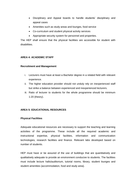- Disciplinary and Appeal boards to handle students' disciplinary and appeal cases
- Amenities such as study areas and lounges, food service
- Co-curriculum and student physical activity services
- Appropriate security system for personnel and properties.

The HEP shall ensure that the physical facilities are accessible for student with disabilities.

# **AREA 4: ACADEMIC STAFF**

#### **Recruitment and Management**

- i. Lecturers must have at least a Bachelor degree in a related field with relevant experience.
- ii. The higher education provider should not unduly rely on inexperienced staff but strike a balance between experienced and inexperienced lecturers.
- iii. Ratio of lecturer to students for the whole programme should be minimum 1:20 (theory).

# **AREA 5: EDUCATIONAL RESOURCES**

# **Physical Facilities**

Adequate educational resources are necessary to support the teaching and learning activities of the programme. These include all the required academic and instructional expertise, physical facilities, information and communication technologies, research facilities and finance. Relevant labs developed based on number of students.

HEP must have or be assured of the use of buildings that are quantitatively and qualitatively adequate to provide an environment conducive to students. The facilities must include lecture halls/auditorium, tutorial rooms, library, student lounges and student amenities (accommodation, food and study area).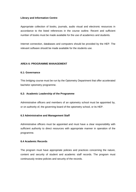#### **Library and Information Centre**

Appropriate collection of books, journals, audio visual and electronic resources in accordance to the listed references in the course outline. Recent and sufficient number of books must be made available for the use of academics and students.

Internet connection, databases and computers should be provided by the HEP. The relevant software should be made available for the students use.

#### **AREA 6: PROGRAMME MANAGEMENT**

#### **6.1: Governance**

This bridging course must be run by the Optometry Department that offer accelerated bachelor optometry programme.

#### **6.2: Academic Leadership of the Programme**

Administrative officers and members of an optometry school must be appointed by, or on authority of, the governing board of the optometry school, or its HEP.

#### **6.3 Administrative and Management Staff**

Administrative officers must be appointed and must have a clear responsibility with sufficient authority to direct resources with appropriate manner in operation of the programme.

#### **6.4 Academic Records**

The program must have appropriate policies and practices concerning the nature, content and security of student and academic staff records. The program must continuously review policies and security of the records.